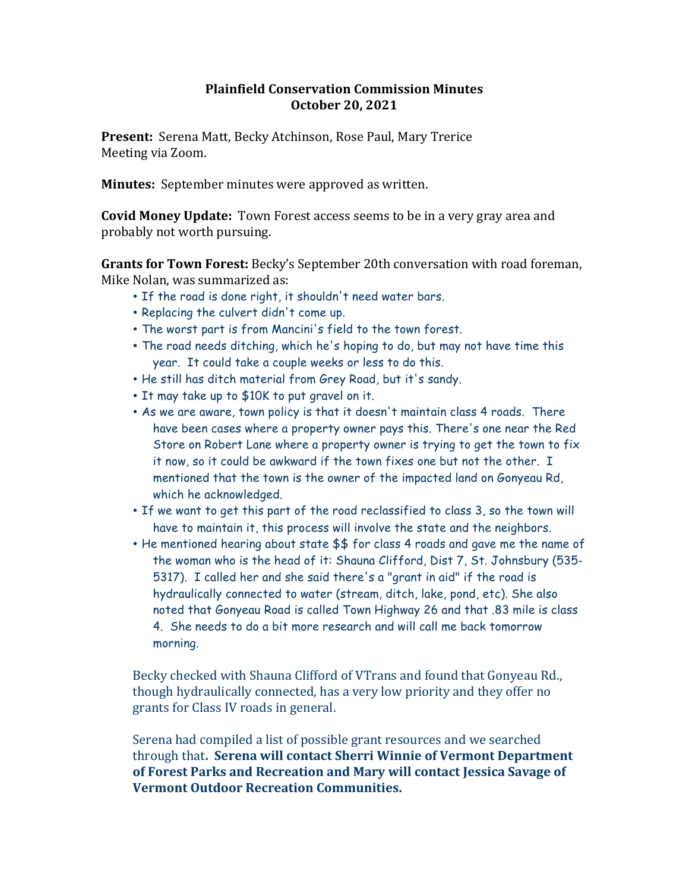## **Plainfield Conservation Commission Minutes October 20, 2021**

**Present:** Serena Matt, Becky Atchinson, Rose Paul, Mary Trerice Meeting via Zoom.

**Minutes:** September minutes were approved as written.

**Covid Money Update:** Town Forest access seems to be in a very gray area and probably not worth pursuing.

**Grants for Town Forest:** Becky's September 20th conversation with road foreman, Mike Nolan, was summarized as:

- If the road is done right, it shouldn't need water bars.
- Replacing the culvert didn't come up.
- The worst part is from Mancini's field to the town forest.
- The road needs ditching, which he's hoping to do, but may not have time this year. It could take a couple weeks or less to do this.
- He still has ditch material from Grey Road, but it's sandy.
- It may take up to \$10K to put gravel on it.
- As we are aware, town policy is that it doesn't maintain class 4 roads. There have been cases where a property owner pays this. There's one near the Red Store on Robert Lane where a property owner is trying to get the town to fix it now, so it could be awkward if the town fixes one but not the other. I mentioned that the town is the owner of the impacted land on Gonyeau Rd, which he acknowledged.
- If we want to get this part of the road reclassified to class 3, so the town will have to maintain it, this process will involve the state and the neighbors.
- He mentioned hearing about state \$\$ for class 4 roads and gave me the name of the woman who is the head of it: Shauna Clifford, Dist 7, St. Johnsbury (535- 5317). I called her and she said there's a "grant in aid" if the road is hydraulically connected to water (stream, ditch, lake, pond, etc). She also noted that Gonyeau Road is called Town Highway 26 and that .83 mile is class 4. She needs to do a bit more research and will call me back tomorrow morning.

Becky checked with Shauna Clifford of VTrans and found that Gonyeau Rd., though hydraulically connected, has a very low priority and they offer no grants for Class IV roads in general.

Serena had compiled a list of possible grant resources and we searched through that. Serena will contact Sherri Winnie of Vermont Department of Forest Parks and Recreation and Mary will contact Jessica Savage of **Vermont Outdoor Recreation Communities.**